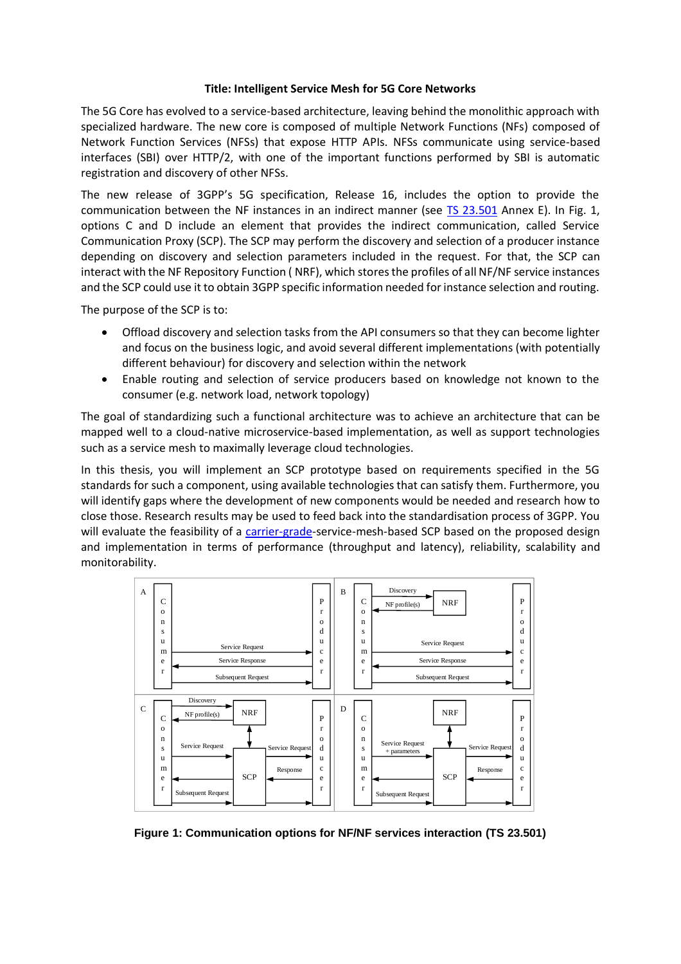## **Title: Intelligent Service Mesh for 5G Core Networks**

The 5G Core has evolved to a service-based architecture, leaving behind the monolithic approach with specialized hardware. The new core is composed of multiple Network Functions (NFs) composed of Network Function Services (NFSs) that expose HTTP APIs. NFSs communicate using service-based interfaces (SBI) over HTTP/2, with one of the important functions performed by SBI is automatic registration and discovery of other NFSs.

The new release of 3GPP's 5G specification, Release 16, includes the option to provide the communication between the NF instances in an indirect manner (see [TS 23.501](http://www.3gpp.org/ftp/Specs/archive/23_series/23.501/23501-g10.zip) Annex E). In Fig. 1, options C and D include an element that provides the indirect communication, called Service Communication Proxy (SCP). The SCP may perform the discovery and selection of a producer instance depending on discovery and selection parameters included in the request. For that, the SCP can interact with the NF Repository Function ( NRF), which stores the profiles of all NF/NF service instances and the SCP could use it to obtain 3GPP specific information needed for instance selection and routing.

The purpose of the SCP is to:

- Offload discovery and selection tasks from the API consumers so that they can become lighter and focus on the business logic, and avoid several different implementations (with potentially different behaviour) for discovery and selection within the network
- Enable routing and selection of service producers based on knowledge not known to the consumer (e.g. network load, network topology)

The goal of standardizing such a functional architecture was to achieve an architecture that can be mapped well to a cloud-native microservice-based implementation, as well as support technologies such as a service mesh to maximally leverage cloud technologies.

In this thesis, you will implement an SCP prototype based on requirements specified in the 5G standards for such a component, using available technologies that can satisfy them. Furthermore, you will identify gaps where the development of new components would be needed and research how to close those. Research results may be used to feed back into the standardisation process of 3GPP. You will evaluate the feasibility of a [carrier-grade-](https://en.wikipedia.org/wiki/Carrier_grade)service-mesh-based SCP based on the proposed design and implementation in terms of performance (throughput and latency), reliability, scalability and monitorability.



**Figure 1: Communication options for NF/NF services interaction (TS 23.501)**